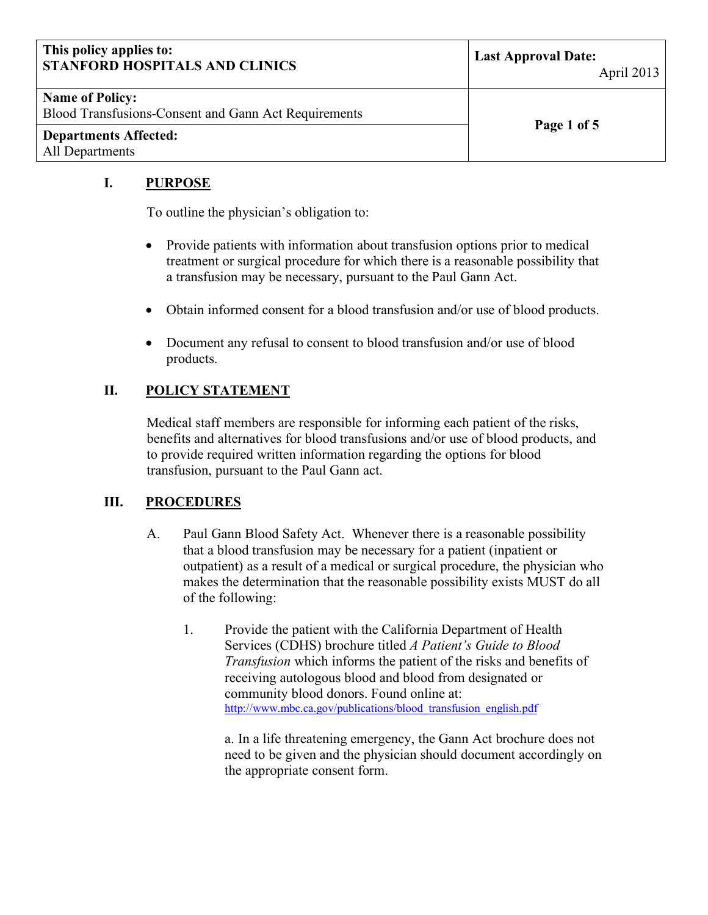| This policy applies to:<br><b>STANFORD HOSPITALS AND CLINICS</b>               | <b>Last Approval Date:</b><br>April 2013 |
|--------------------------------------------------------------------------------|------------------------------------------|
| <b>Name of Policy:</b><br>Blood Transfusions-Consent and Gann Act Requirements | Page 1 of 5                              |
| <b>Departments Affected:</b><br>All Departments                                |                                          |

### **I. PURPOSE**

To outline the physician's obligation to:

- Provide patients with information about transfusion options prior to medical treatment or surgical procedure for which there is a reasonable possibility that a transfusion may be necessary, pursuant to the Paul Gann Act.
- Obtain informed consent for a blood transfusion and/or use of blood products.
- Document any refusal to consent to blood transfusion and/or use of blood products.

## **II. POLICY STATEMENT**

Medical staff members are responsible for informing each patient of the risks, benefits and alternatives for blood transfusions and/or use of blood products, and to provide required written information regarding the options for blood transfusion, pursuant to the Paul Gann act.

#### **III. PROCEDURES**

- A. Paul Gann Blood Safety Act. Whenever there is a reasonable possibility that a blood transfusion may be necessary for a patient (inpatient or outpatient) as a result of a medical or surgical procedure, the physician who makes the determination that the reasonable possibility exists MUST do all of the following:
	- 1. Provide the patient with the California Department of Health Services (CDHS) brochure titled *A Patient's Guide to Blood Transfusion* which informs the patient of the risks and benefits of receiving autologous blood and blood from designated or community blood donors. Found online at: [http://www.mbc.ca.gov/publications/blood\\_transfusion\\_english.pdf](http://www.mbc.ca.gov/publications/blood_transfusion_english.pdf)

a. In a life threatening emergency, the Gann Act brochure does not need to be given and the physician should document accordingly on the appropriate consent form.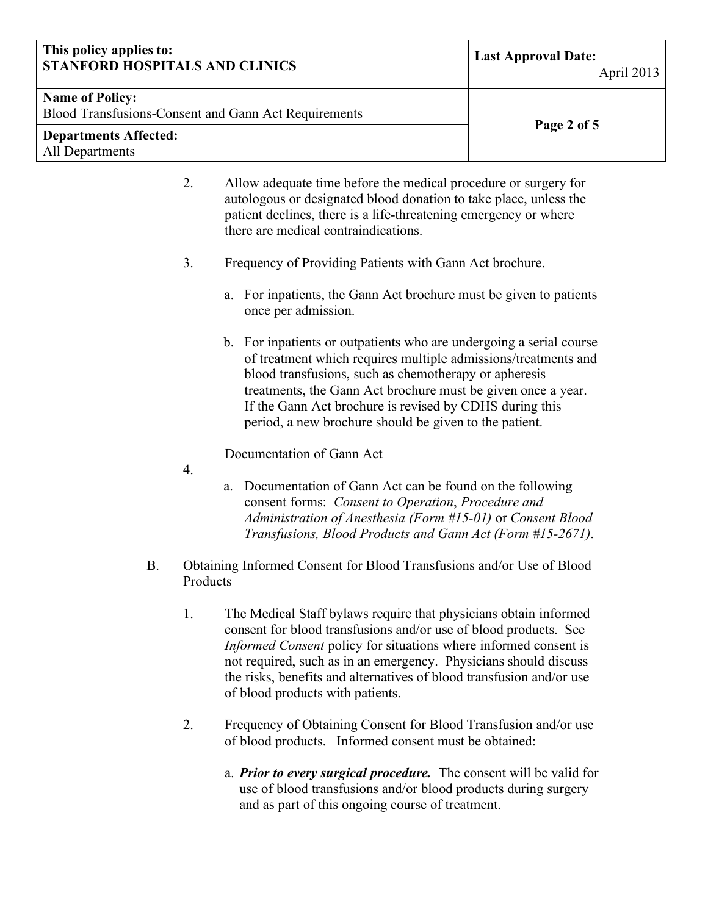#### **This policy applies to: STANFORD HOSPITALS AND CLINICS Last Approval Date:**

#### **Name of Policy:**

Blood Transfusions-Consent and Gann Act Requirements **Page 2 of 5**

#### **Departments Affected:** All Departments

2. Allow adequate time before the medical procedure or surgery for autologous or designated blood donation to take place, unless the patient declines, there is a life-threatening emergency or where there are medical contraindications.

- 3. Frequency of Providing Patients with Gann Act brochure.
	- a. For inpatients, the Gann Act brochure must be given to patients once per admission.
	- b. For inpatients or outpatients who are undergoing a serial course of treatment which requires multiple admissions/treatments and blood transfusions, such as chemotherapy or apheresis treatments, the Gann Act brochure must be given once a year. If the Gann Act brochure is revised by CDHS during this period, a new brochure should be given to the patient.

Documentation of Gann Act

- 4.
- a. Documentation of Gann Act can be found on the following consent forms: *Consent to Operation*, *Procedure and Administration of Anesthesia (Form #15-01)* or *Consent Blood Transfusions, Blood Products and Gann Act (Form #15-2671)*.
- B. Obtaining Informed Consent for Blood Transfusions and/or Use of Blood Products
	- 1. The Medical Staff bylaws require that physicians obtain informed consent for blood transfusions and/or use of blood products. See *Informed Consent* policy for situations where informed consent is not required, such as in an emergency. Physicians should discuss the risks, benefits and alternatives of blood transfusion and/or use of blood products with patients.
	- 2. Frequency of Obtaining Consent for Blood Transfusion and/or use of blood products. Informed consent must be obtained:
		- a. *Prior to every surgical procedure.* The consent will be valid for use of blood transfusions and/or blood products during surgery and as part of this ongoing course of treatment.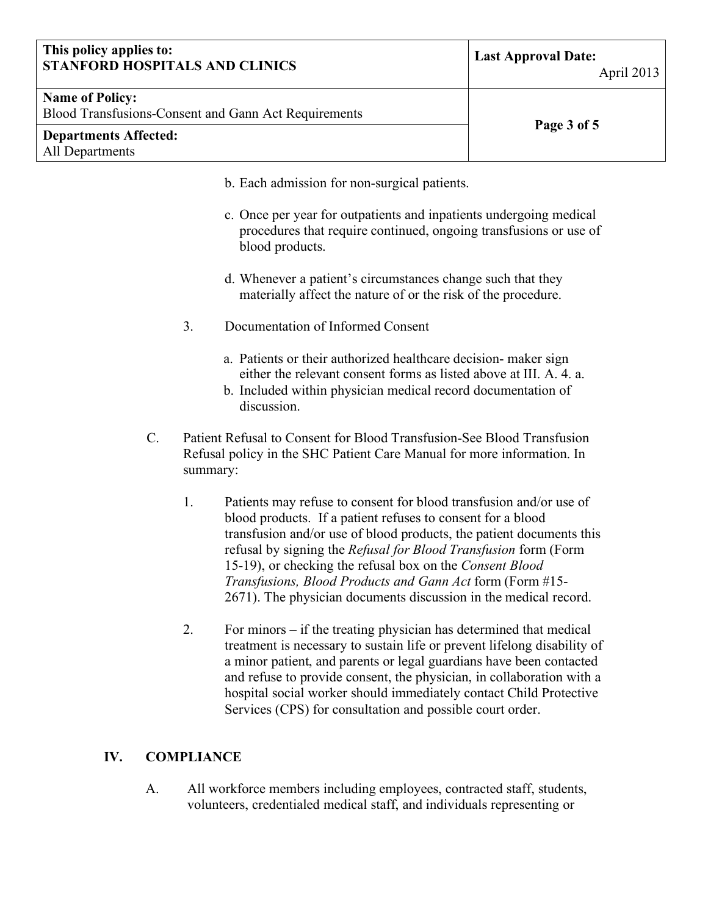#### **This policy applies to: STANFORD HOSPITALS AND CLINICS Last Approval Date:**

| <b>Name of Policy:</b>                               |             |
|------------------------------------------------------|-------------|
| Blood Transfusions-Consent and Gann Act Requirements |             |
|                                                      | Page 3 of 5 |

- **Departments Affected:** All Departments
- b. Each admission for non-surgical patients.
- c. Once per year for outpatients and inpatients undergoing medical procedures that require continued, ongoing transfusions or use of blood products.
- d. Whenever a patient's circumstances change such that they materially affect the nature of or the risk of the procedure.
- 3. Documentation of Informed Consent
	- a. Patients or their authorized healthcare decision- maker sign either the relevant consent forms as listed above at III. A. 4. a.
	- b. Included within physician medical record documentation of discussion.
- C. Patient Refusal to Consent for Blood Transfusion-See Blood Transfusion Refusal policy in the SHC Patient Care Manual for more information. In summary:
	- 1. Patients may refuse to consent for blood transfusion and/or use of blood products. If a patient refuses to consent for a blood transfusion and/or use of blood products, the patient documents this refusal by signing the *Refusal for Blood Transfusion* form (Form 15-19), or checking the refusal box on the *Consent Blood Transfusions, Blood Products and Gann Act* form (Form #15- 2671). The physician documents discussion in the medical record.
	- 2. For minors if the treating physician has determined that medical treatment is necessary to sustain life or prevent lifelong disability of a minor patient, and parents or legal guardians have been contacted and refuse to provide consent, the physician, in collaboration with a hospital social worker should immediately contact Child Protective Services (CPS) for consultation and possible court order.

### **IV. COMPLIANCE**

A. All workforce members including employees, contracted staff, students, volunteers, credentialed medical staff, and individuals representing or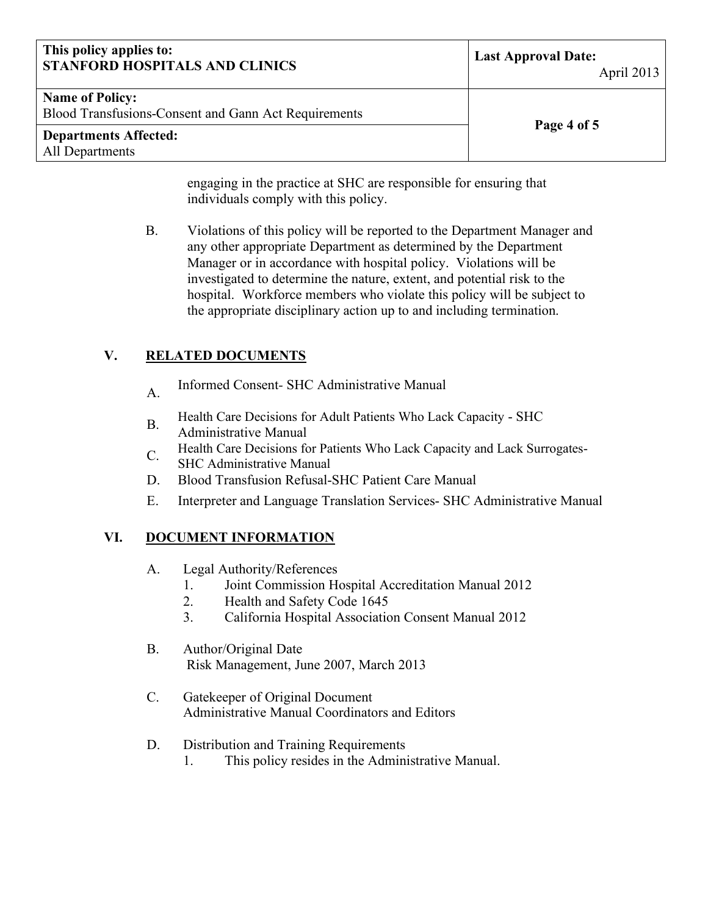| This policy applies to:<br><b>STANFORD HOSPITALS AND CLINICS</b>               | <b>Last Approval Date:</b><br>April 2013 |
|--------------------------------------------------------------------------------|------------------------------------------|
| <b>Name of Policy:</b><br>Blood Transfusions-Consent and Gann Act Requirements | Page 4 of 5                              |
| <b>Departments Affected:</b><br>All Departments                                |                                          |

engaging in the practice at SHC are responsible for ensuring that individuals comply with this policy.

B. Violations of this policy will be reported to the Department Manager and any other appropriate Department as determined by the Department Manager or in accordance with hospital policy. Violations will be investigated to determine the nature, extent, and potential risk to the hospital. Workforce members who violate this policy will be subject to the appropriate disciplinary action up to and including termination.

# **V. RELATED DOCUMENTS**

- A. Informed Consent*-* SHC Administrative Manual
- B. Health Care Decisions for Adult Patients Who Lack Capacity SHC
- Administrative Manual
- C. Health Care Decisions for Patients Who Lack Capacity and Lack Surrogates-
- SHC Administrative Manual
- D. Blood Transfusion Refusal-SHC Patient Care Manual
- E. Interpreter and Language Translation Services- SHC Administrative Manual

# **VI. DOCUMENT INFORMATION**

- A. Legal Authority/References
	- 1. Joint Commission Hospital Accreditation Manual 2012
	- 2. Health and Safety Code 1645
	- 3. California Hospital Association Consent Manual 2012
- B. Author/Original Date Risk Management, June 2007, March 2013
- C. Gatekeeper of Original Document Administrative Manual Coordinators and Editors
- D. Distribution and Training Requirements
	- 1. This policy resides in the Administrative Manual.